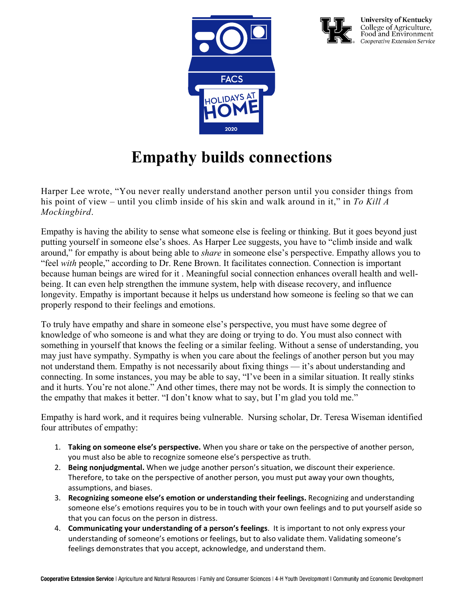



**University of Kentucky** College of Agriculture,<br>Food and Environment Cooperative Extension Service

## **Empathy builds connections**

Harper Lee wrote, "You never really understand another person until you consider things from his point of view – until you climb inside of his skin and walk around in it," in *To Kill A Mockingbird*.

Empathy is having the ability to sense what someone else is feeling or thinking. But it goes beyond just putting yourself in someone else's shoes. As Harper Lee suggests, you have to "climb inside and walk around," for empathy is about being able to *share* in someone else's perspective. Empathy allows you to "feel *with* people," according to Dr. Rene Brown. It facilitates connection. Connection is important because human beings are wired for it . Meaningful social connection enhances overall health and wellbeing. It can even help strengthen the immune system, help with disease recovery, and influence longevity. Empathy is important because it helps us understand how someone is feeling so that we can properly respond to their feelings and emotions.

To truly have empathy and share in someone else's perspective, you must have some degree of knowledge of who someone is and what they are doing or trying to do. You must also connect with something in yourself that knows the feeling or a similar feeling. Without a sense of understanding, you may just have sympathy. Sympathy is when you care about the feelings of another person but you may not understand them. Empathy is not necessarily about fixing things — it's about understanding and connecting. In some instances, you may be able to say, "I've been in a similar situation. It really stinks and it hurts. You're not alone." And other times, there may not be words. It is simply the connection to the empathy that makes it better. "I don't know what to say, but I'm glad you told me."

Empathy is hard work, and it requires being vulnerable. Nursing scholar, Dr. Teresa Wiseman identified four attributes of empathy:

- 1. **Taking on someone else's perspective.** When you share or take on the perspective of another person, you must also be able to recognize someone else's perspective as truth.
- 2. **Being nonjudgmental.** When we judge another person's situation, we discount their experience. Therefore, to take on the perspective of another person, you must put away your own thoughts, assumptions, and biases.
- 3. **Recognizing someone else's emotion or understanding their feelings.** Recognizing and understanding someone else's emotions requires you to be in touch with your own feelings and to put yourself aside so that you can focus on the person in distress.
- 4. **Communicating your understanding of a person's feelings**. It is important to not only express your understanding of someone's emotions or feelings, but to also validate them. Validating someone's feelings demonstrates that you accept, acknowledge, and understand them.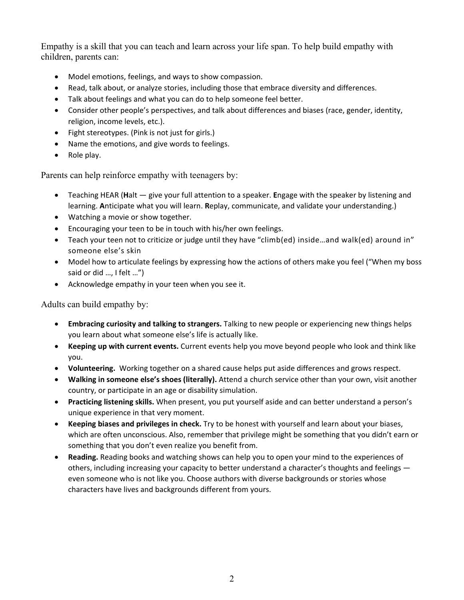Empathy is a skill that you can teach and learn across your life span. To help build empathy with children, parents can:

- Model emotions, feelings, and ways to show compassion.
- Read, talk about, or analyze stories, including those that embrace diversity and differences.
- Talk about feelings and what you can do to help someone feel better.
- Consider other people's perspectives, and talk about differences and biases (race, gender, identity, religion, income levels, etc.).
- Fight stereotypes. (Pink is not just for girls.)
- Name the emotions, and give words to feelings.
- Role play.

Parents can help reinforce empathy with teenagers by:

- Teaching HEAR (**H**alt give your full attention to a speaker. **E**ngage with the speaker by listening and learning. **A**nticipate what you will learn. **R**eplay, communicate, and validate your understanding.)
- Watching a movie or show together.
- Encouraging your teen to be in touch with his/her own feelings.
- Teach your teen not to criticize or judge until they have "climb(ed) inside...and walk(ed) around in" someone else's skin
- Model how to articulate feelings by expressing how the actions of others make you feel ("When my boss said or did …, I felt …")
- Acknowledge empathy in your teen when you see it.

Adults can build empathy by:

- **Embracing curiosity and talking to strangers.** Talking to new people or experiencing new things helps you learn about what someone else's life is actually like.
- **Keeping up with current events.** Current events help you move beyond people who look and think like you.
- **Volunteering.** Working together on a shared cause helps put aside differences and grows respect.
- **Walking in someone else's shoes (literally).** Attend a church service other than your own, visit another country, or participate in an age or disability simulation.
- **Practicing listening skills.** When present, you put yourself aside and can better understand a person's unique experience in that very moment.
- **Keeping biases and privileges in check.** Try to be honest with yourself and learn about your biases, which are often unconscious. Also, remember that privilege might be something that you didn't earn or something that you don't even realize you benefit from.
- **Reading.** Reading books and watching shows can help you to open your mind to the experiences of others, including increasing your capacity to better understand a character's thoughts and feelings even someone who is not like you. Choose authors with diverse backgrounds or stories whose characters have lives and backgrounds different from yours.